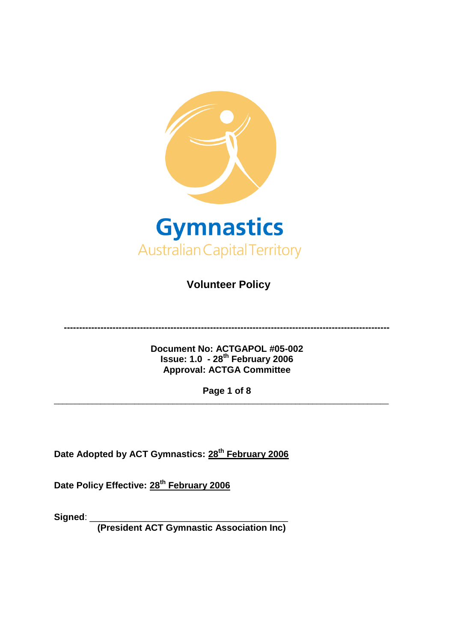<span id="page-0-0"></span>

**Volunteer Policy** 

**-----------------------------------------------------------------------------------------------------------**

**Document No: ACTGAPOL #05-002 Issue: 1.0 - 28th February 2006 Approval: ACTGA Committee**

**Page 1 of 8**

\_\_\_\_\_\_\_\_\_\_\_\_\_\_\_\_\_\_\_\_\_\_\_\_\_\_\_\_\_\_\_\_\_\_\_\_\_\_\_\_\_\_\_\_\_\_\_\_\_\_\_\_\_\_\_\_\_\_\_\_\_\_\_\_\_\_\_\_\_\_\_\_\_\_\_\_\_\_\_

**Date Adopted by ACT Gymnastics: 28th February 2006**

**Date Policy Effective: 28th February 2006**

**Signed**: \_\_\_\_\_\_\_\_\_\_\_\_\_\_\_\_\_\_\_\_\_\_\_\_\_\_\_\_\_\_\_\_\_\_\_\_\_\_\_

**(President ACT Gymnastic Association Inc)**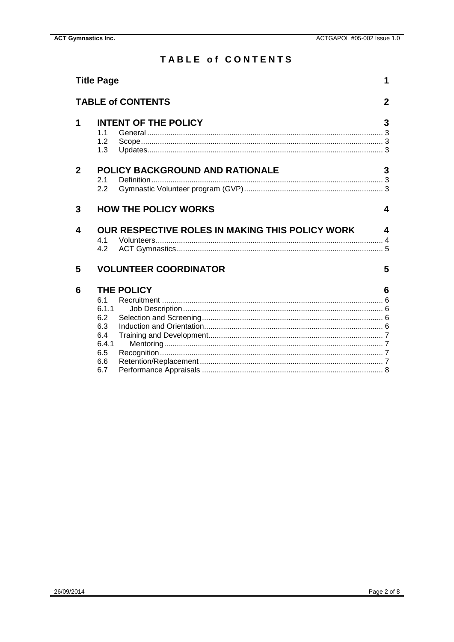# **TABLE of CONTENTS**

<span id="page-1-0"></span>

|   | <b>Title Page</b>                                             | 1           |
|---|---------------------------------------------------------------|-------------|
|   | <b>TABLE of CONTENTS</b>                                      | $\mathbf 2$ |
| 1 | <b>INTENT OF THE POLICY</b><br>1 <sub>1</sub><br>1.2<br>1.3   | 3           |
| 2 | <b>POLICY BACKGROUND AND RATIONALE</b><br>2.1<br>2.2          | 3           |
| 3 | <b>HOW THE POLICY WORKS</b>                                   | 4           |
|   |                                                               |             |
| 4 | OUR RESPECTIVE ROLES IN MAKING THIS POLICY WORK<br>4.1<br>4.2 | 4           |
| 5 | <b>VOLUNTEER COORDINATOR</b>                                  | 5           |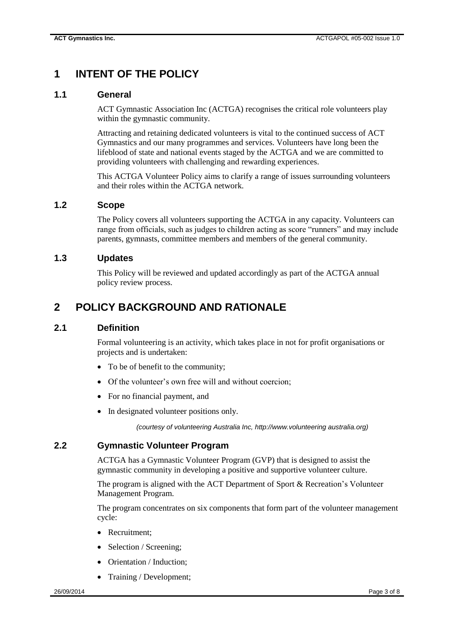# <span id="page-2-0"></span>**1 INTENT OF THE POLICY**

### <span id="page-2-1"></span>**1.1 General**

ACT Gymnastic Association Inc (ACTGA) recognises the critical role volunteers play within the gymnastic community.

Attracting and retaining dedicated volunteers is vital to the continued success of ACT Gymnastics and our many programmes and services. Volunteers have long been the lifeblood of state and national events staged by the ACTGA and we are committed to providing volunteers with challenging and rewarding experiences.

This ACTGA Volunteer Policy aims to clarify a range of issues surrounding volunteers and their roles within the ACTGA network.

## <span id="page-2-2"></span>**1.2 Scope**

The Policy covers all volunteers supporting the ACTGA in any capacity. Volunteers can range from officials, such as judges to children acting as score "runners" and may include parents, gymnasts, committee members and members of the general community.

### <span id="page-2-3"></span>**1.3 Updates**

This Policy will be reviewed and updated accordingly as part of the ACTGA annual policy review process.

# <span id="page-2-4"></span>**2 POLICY BACKGROUND AND RATIONALE**

#### <span id="page-2-5"></span>**2.1 Definition**

Formal volunteering is an activity, which takes place in not for profit organisations or projects and is undertaken:

- To be of benefit to the community;
- Of the volunteer's own free will and without coercion;
- For no financial payment, and
- In designated volunteer positions only.

*(courtesy of volunteering Australia Inc, http://www.volunteering australia.org)*

### <span id="page-2-6"></span>**2.2 Gymnastic Volunteer Program**

ACTGA has a Gymnastic Volunteer Program (GVP) that is designed to assist the gymnastic community in developing a positive and supportive volunteer culture.

The program is aligned with the ACT Department of Sport & Recreation's Volunteer Management Program.

The program concentrates on six components that form part of the volunteer management cycle:

- Recruitment:
- Selection / Screening:
- Orientation / Induction;
- Training / Development;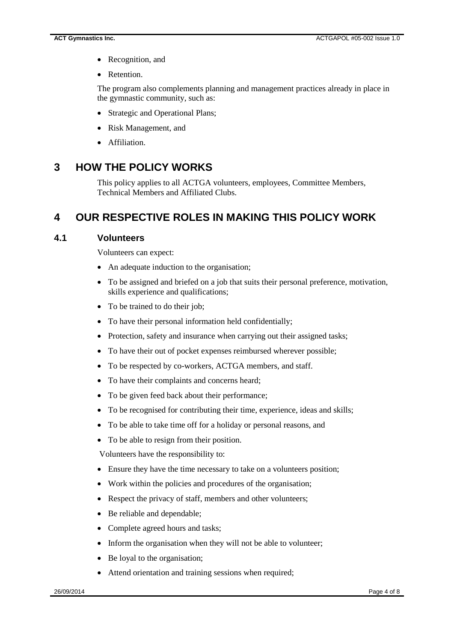- Recognition, and
- Retention.

The program also complements planning and management practices already in place in the gymnastic community, such as:

- Strategic and Operational Plans;
- Risk Management, and
- Affiliation.

## <span id="page-3-0"></span>**3 HOW THE POLICY WORKS**

This policy applies to all ACTGA volunteers, employees, Committee Members, Technical Members and Affiliated Clubs.

# <span id="page-3-1"></span>**4 OUR RESPECTIVE ROLES IN MAKING THIS POLICY WORK**

### <span id="page-3-2"></span>**4.1 Volunteers**

Volunteers can expect:

- An adequate induction to the organisation;
- To be assigned and briefed on a job that suits their personal preference, motivation, skills experience and qualifications;
- To be trained to do their job;
- To have their personal information held confidentially;
- Protection, safety and insurance when carrying out their assigned tasks;
- To have their out of pocket expenses reimbursed wherever possible;
- To be respected by co-workers, ACTGA members, and staff.
- To have their complaints and concerns heard;
- To be given feed back about their performance;
- To be recognised for contributing their time, experience, ideas and skills;
- To be able to take time off for a holiday or personal reasons, and
- To be able to resign from their position.

Volunteers have the responsibility to:

- Ensure they have the time necessary to take on a volunteers position;
- Work within the policies and procedures of the organisation;
- Respect the privacy of staff, members and other volunteers;
- Be reliable and dependable;
- Complete agreed hours and tasks;
- Inform the organisation when they will not be able to volunteer;
- Be loyal to the organisation;
- Attend orientation and training sessions when required;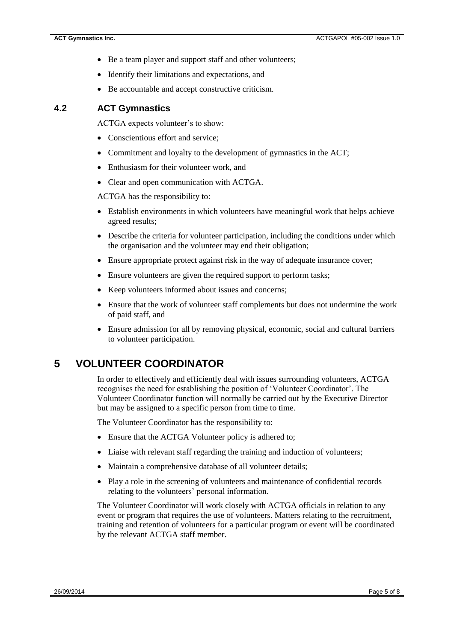- Be a team player and support staff and other volunteers;
- Identify their limitations and expectations, and
- Be accountable and accept constructive criticism.

### <span id="page-4-0"></span>**4.2 ACT Gymnastics**

ACTGA expects volunteer's to show:

- Conscientious effort and service;
- Commitment and loyalty to the development of gymnastics in the ACT;
- Enthusiasm for their volunteer work, and
- Clear and open communication with ACTGA.

ACTGA has the responsibility to:

- Establish environments in which volunteers have meaningful work that helps achieve agreed results;
- Describe the criteria for volunteer participation, including the conditions under which the organisation and the volunteer may end their obligation;
- Ensure appropriate protect against risk in the way of adequate insurance cover;
- Ensure volunteers are given the required support to perform tasks;
- Keep volunteers informed about issues and concerns;
- Ensure that the work of volunteer staff complements but does not undermine the work of paid staff, and
- Ensure admission for all by removing physical, economic, social and cultural barriers to volunteer participation.

# <span id="page-4-1"></span>**5 VOLUNTEER COORDINATOR**

In order to effectively and efficiently deal with issues surrounding volunteers, ACTGA recognises the need for establishing the position of 'Volunteer Coordinator'. The Volunteer Coordinator function will normally be carried out by the Executive Director but may be assigned to a specific person from time to time.

The Volunteer Coordinator has the responsibility to:

- Ensure that the ACTGA Volunteer policy is adhered to;
- Liaise with relevant staff regarding the training and induction of volunteers;
- Maintain a comprehensive database of all volunteer details;
- Play a role in the screening of volunteers and maintenance of confidential records relating to the volunteers' personal information.

The Volunteer Coordinator will work closely with ACTGA officials in relation to any event or program that requires the use of volunteers. Matters relating to the recruitment, training and retention of volunteers for a particular program or event will be coordinated by the relevant ACTGA staff member.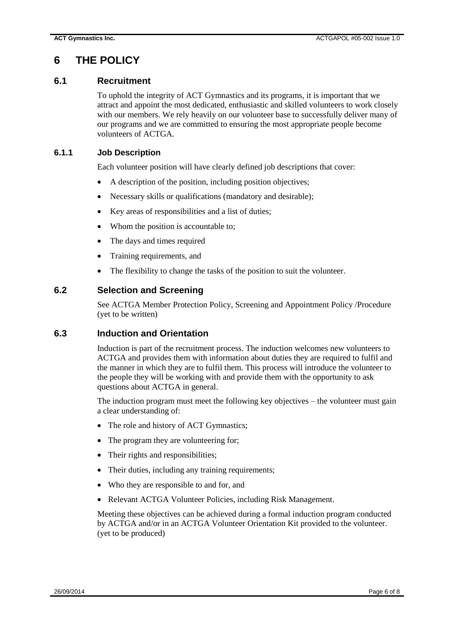# <span id="page-5-0"></span>**6 THE POLICY**

### <span id="page-5-1"></span>**6.1 Recruitment**

To uphold the integrity of ACT Gymnastics and its programs, it is important that we attract and appoint the most dedicated, enthusiastic and skilled volunteers to work closely with our members. We rely heavily on our volunteer base to successfully deliver many of our programs and we are committed to ensuring the most appropriate people become volunteers of ACTGA.

### <span id="page-5-2"></span>**6.1.1 Job Description**

Each volunteer position will have clearly defined job descriptions that cover:

- A description of the position, including position objectives;
- Necessary skills or qualifications (mandatory and desirable);
- Key areas of responsibilities and a list of duties;
- Whom the position is accountable to;
- The days and times required
- Training requirements, and
- The flexibility to change the tasks of the position to suit the volunteer.

### <span id="page-5-3"></span>**6.2 Selection and Screening**

See ACTGA Member Protection Policy, Screening and Appointment Policy /Procedure (yet to be written)

#### <span id="page-5-4"></span>**6.3 Induction and Orientation**

Induction is part of the recruitment process. The induction welcomes new volunteers to ACTGA and provides them with information about duties they are required to fulfil and the manner in which they are to fulfil them. This process will introduce the volunteer to the people they will be working with and provide them with the opportunity to ask questions about ACTGA in general.

The induction program must meet the following key objectives – the volunteer must gain a clear understanding of:

- The role and history of ACT Gymnastics;
- The program they are volunteering for;
- Their rights and responsibilities;
- Their duties, including any training requirements;
- Who they are responsible to and for, and
- Relevant ACTGA Volunteer Policies, including Risk Management.

Meeting these objectives can be achieved during a formal induction program conducted by ACTGA and/or in an ACTGA Volunteer Orientation Kit provided to the volunteer. (yet to be produced)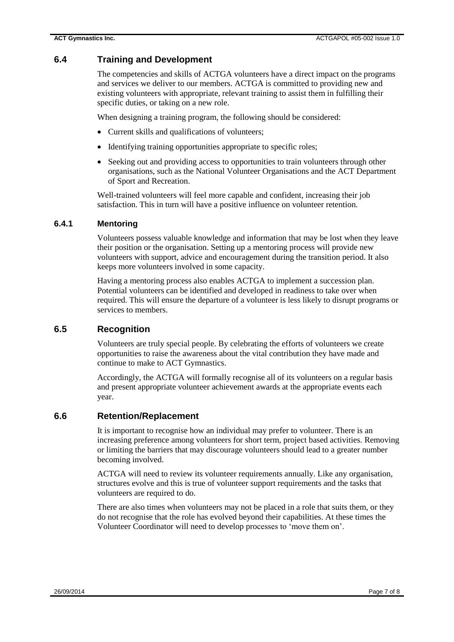## <span id="page-6-0"></span>**6.4 Training and Development**

The competencies and skills of ACTGA volunteers have a direct impact on the programs and services we deliver to our members. ACTGA is committed to providing new and existing volunteers with appropriate, relevant training to assist them in fulfilling their specific duties, or taking on a new role.

When designing a training program, the following should be considered:

- Current skills and qualifications of volunteers;
- Identifying training opportunities appropriate to specific roles;
- Seeking out and providing access to opportunities to train volunteers through other organisations, such as the National Volunteer Organisations and the ACT Department of Sport and Recreation.

Well-trained volunteers will feel more capable and confident, increasing their job satisfaction. This in turn will have a positive influence on volunteer retention.

#### <span id="page-6-1"></span>**6.4.1 Mentoring**

Volunteers possess valuable knowledge and information that may be lost when they leave their position or the organisation. Setting up a mentoring process will provide new volunteers with support, advice and encouragement during the transition period. It also keeps more volunteers involved in some capacity.

Having a mentoring process also enables ACTGA to implement a succession plan. Potential volunteers can be identified and developed in readiness to take over when required. This will ensure the departure of a volunteer is less likely to disrupt programs or services to members.

### <span id="page-6-2"></span>**6.5 Recognition**

Volunteers are truly special people. By celebrating the efforts of volunteers we create opportunities to raise the awareness about the vital contribution they have made and continue to make to ACT Gymnastics.

Accordingly, the ACTGA will formally recognise all of its volunteers on a regular basis and present appropriate volunteer achievement awards at the appropriate events each year.

### <span id="page-6-3"></span>**6.6 Retention/Replacement**

It is important to recognise how an individual may prefer to volunteer. There is an increasing preference among volunteers for short term, project based activities. Removing or limiting the barriers that may discourage volunteers should lead to a greater number becoming involved.

ACTGA will need to review its volunteer requirements annually. Like any organisation, structures evolve and this is true of volunteer support requirements and the tasks that volunteers are required to do.

<span id="page-6-4"></span>There are also times when volunteers may not be placed in a role that suits them, or they do not recognise that the role has evolved beyond their capabilities. At these times the Volunteer Coordinator will need to develop processes to 'move them on'.